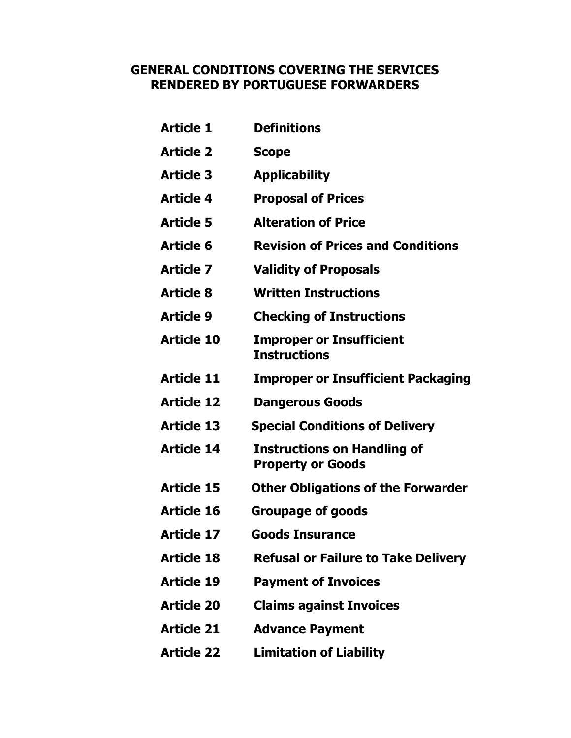## GENERAL CONDITIONS COVERING THE SERVICES RENDERED BY PORTUGUESE FORWARDERS

| Article 1         | <b>Definitions</b>                                             |
|-------------------|----------------------------------------------------------------|
| <b>Article 2</b>  | <b>Scope</b>                                                   |
| <b>Article 3</b>  | <b>Applicability</b>                                           |
| <b>Article 4</b>  | <b>Proposal of Prices</b>                                      |
| <b>Article 5</b>  | <b>Alteration of Price</b>                                     |
| Article 6         | <b>Revision of Prices and Conditions</b>                       |
| Article 7         | <b>Validity of Proposals</b>                                   |
| <b>Article 8</b>  | <b>Written Instructions</b>                                    |
| Article 9         | <b>Checking of Instructions</b>                                |
| <b>Article 10</b> | <b>Improper or Insufficient</b><br><b>Instructions</b>         |
| Article 11        | <b>Improper or Insufficient Packaging</b>                      |
| <b>Article 12</b> | <b>Dangerous Goods</b>                                         |
| <b>Article 13</b> | <b>Special Conditions of Delivery</b>                          |
| <b>Article 14</b> | <b>Instructions on Handling of</b><br><b>Property or Goods</b> |
| <b>Article 15</b> | <b>Other Obligations of the Forwarder</b>                      |
| <b>Article 16</b> | <b>Groupage of goods</b>                                       |
| Article 17        | <b>Goods Insurance</b>                                         |
| <b>Article 18</b> | <b>Refusal or Failure to Take Delivery</b>                     |
| Article 19        | <b>Payment of Invoices</b>                                     |
| <b>Article 20</b> | <b>Claims against Invoices</b>                                 |
| Article 21        | <b>Advance Payment</b>                                         |
| <b>Article 22</b> | <b>Limitation of Liability</b>                                 |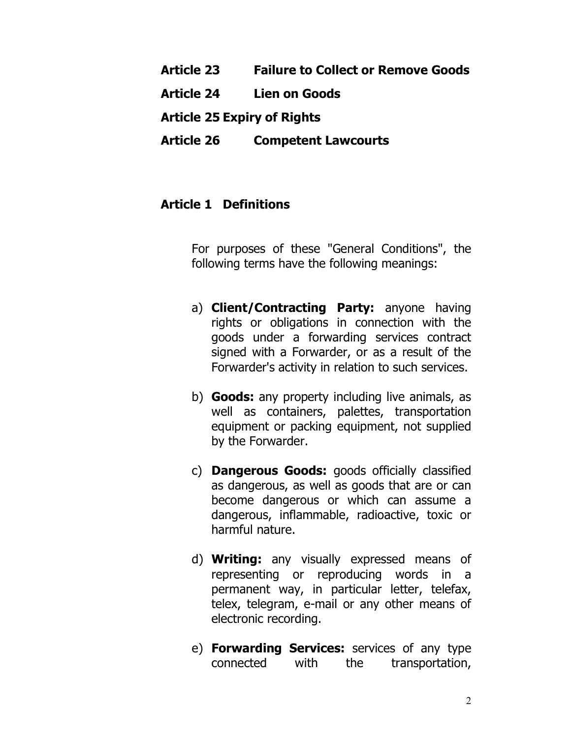#### Article 23 Failure to Collect or Remove Goods

Article 24 Lien on Goods

Article 25 Expiry of Rights

Article 26 Competent Lawcourts

## Article 1 Definitions

For purposes of these "General Conditions", the following terms have the following meanings:

- a) **Client/Contracting Party:** anyone having rights or obligations in connection with the goods under a forwarding services contract signed with a Forwarder, or as a result of the Forwarder's activity in relation to such services.
- b) **Goods:** any property including live animals, as well as containers, palettes, transportation equipment or packing equipment, not supplied by the Forwarder.
- c) Dangerous Goods: goods officially classified as dangerous, as well as goods that are or can become dangerous or which can assume a dangerous, inflammable, radioactive, toxic or harmful nature.
- d) Writing: any visually expressed means of representing or reproducing words in a permanent way, in particular letter, telefax, telex, telegram, e-mail or any other means of electronic recording.
- e) Forwarding Services: services of any type connected with the transportation,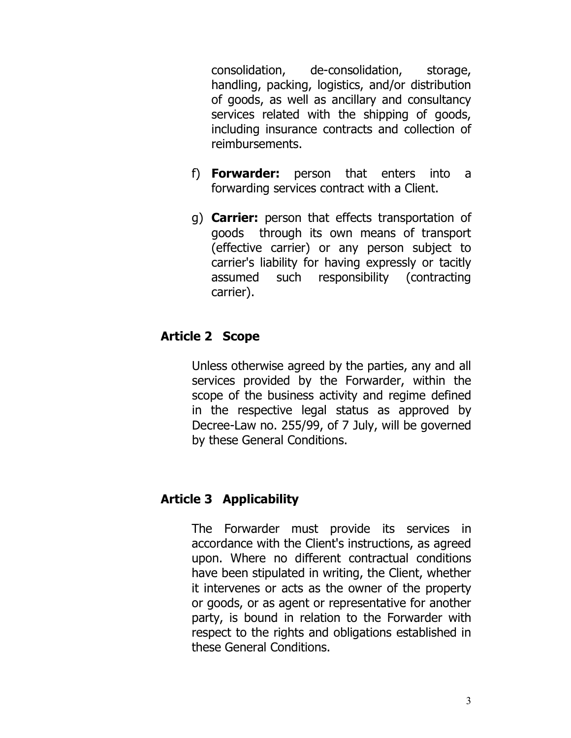consolidation, de-consolidation, storage, handling, packing, logistics, and/or distribution of goods, as well as ancillary and consultancy services related with the shipping of goods, including insurance contracts and collection of reimbursements.

- f) Forwarder: person that enters into a forwarding services contract with a Client.
- g) Carrier: person that effects transportation of goods through its own means of transport (effective carrier) or any person subject to carrier's liability for having expressly or tacitly assumed such responsibility (contracting carrier).

# Article 2 Scope

Unless otherwise agreed by the parties, any and all services provided by the Forwarder, within the scope of the business activity and regime defined in the respective legal status as approved by Decree-Law no. 255/99, of 7 July, will be governed by these General Conditions.

#### Article 3 Applicability

The Forwarder must provide its services in accordance with the Client's instructions, as agreed upon. Where no different contractual conditions have been stipulated in writing, the Client, whether it intervenes or acts as the owner of the property or goods, or as agent or representative for another party, is bound in relation to the Forwarder with respect to the rights and obligations established in these General Conditions.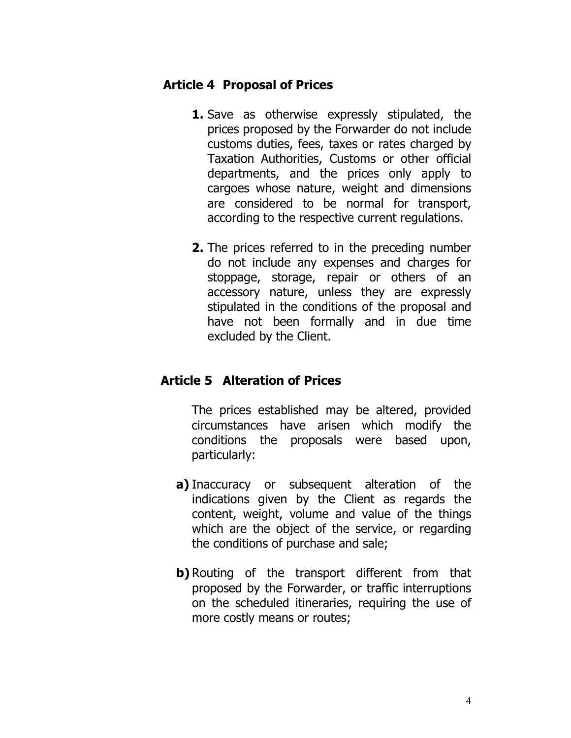#### Article 4 Proposal of Prices

- **1.** Save as otherwise expressly stipulated, the prices proposed by the Forwarder do not include customs duties, fees, taxes or rates charged by Taxation Authorities, Customs or other official departments, and the prices only apply to cargoes whose nature, weight and dimensions are considered to be normal for transport, according to the respective current regulations.
- 2. The prices referred to in the preceding number do not include any expenses and charges for stoppage, storage, repair or others of an accessory nature, unless they are expressly stipulated in the conditions of the proposal and have not been formally and in due time excluded by the Client.

## Article 5 Alteration of Prices

The prices established may be altered, provided circumstances have arisen which modify the conditions the proposals were based upon, particularly:

- a) Inaccuracy or subsequent alteration of the indications given by the Client as regards the content, weight, volume and value of the things which are the object of the service, or regarding the conditions of purchase and sale;
- **b**) Routing of the transport different from that proposed by the Forwarder, or traffic interruptions on the scheduled itineraries, requiring the use of more costly means or routes;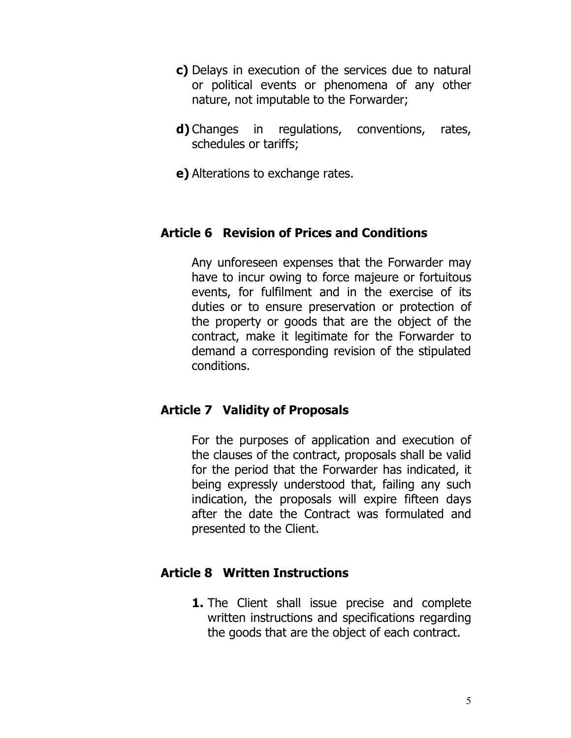- c) Delays in execution of the services due to natural or political events or phenomena of any other nature, not imputable to the Forwarder;
- d) Changes in regulations, conventions, rates, schedules or tariffs;
- e) Alterations to exchange rates.

# Article 6 Revision of Prices and Conditions

Any unforeseen expenses that the Forwarder may have to incur owing to force majeure or fortuitous events, for fulfilment and in the exercise of its duties or to ensure preservation or protection of the property or goods that are the object of the contract, make it legitimate for the Forwarder to demand a corresponding revision of the stipulated conditions.

## Article 7 Validity of Proposals

For the purposes of application and execution of the clauses of the contract, proposals shall be valid for the period that the Forwarder has indicated, it being expressly understood that, failing any such indication, the proposals will expire fifteen days after the date the Contract was formulated and presented to the Client.

## Article 8 Written Instructions

**1.** The Client shall issue precise and complete written instructions and specifications regarding the goods that are the object of each contract.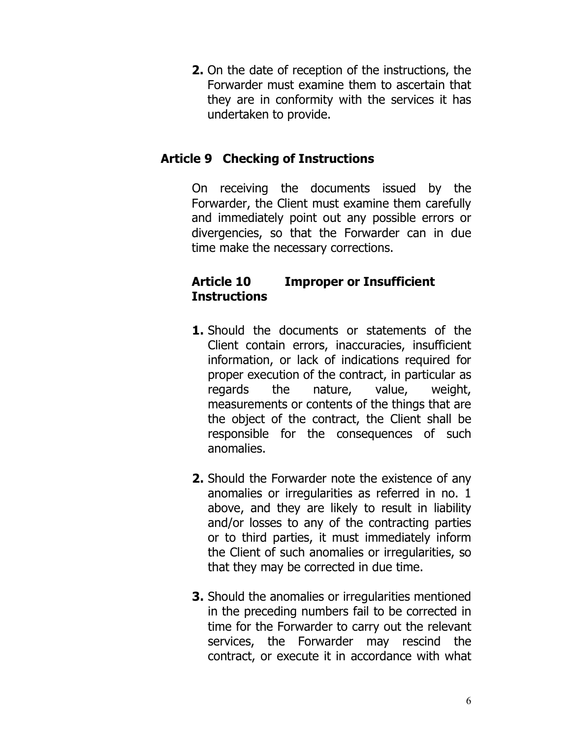2. On the date of reception of the instructions, the Forwarder must examine them to ascertain that they are in conformity with the services it has undertaken to provide.

# Article 9 Checking of Instructions

On receiving the documents issued by the Forwarder, the Client must examine them carefully and immediately point out any possible errors or divergencies, so that the Forwarder can in due time make the necessary corrections.

# Article 10 Improper or Insufficient **Instructions**

- **1.** Should the documents or statements of the Client contain errors, inaccuracies, insufficient information, or lack of indications required for proper execution of the contract, in particular as regards the nature, value, weight, measurements or contents of the things that are the object of the contract, the Client shall be responsible for the consequences of such anomalies.
- 2. Should the Forwarder note the existence of any anomalies or irregularities as referred in no. 1 above, and they are likely to result in liability and/or losses to any of the contracting parties or to third parties, it must immediately inform the Client of such anomalies or irregularities, so that they may be corrected in due time.
- 3. Should the anomalies or irregularities mentioned in the preceding numbers fail to be corrected in time for the Forwarder to carry out the relevant services, the Forwarder may rescind the contract, or execute it in accordance with what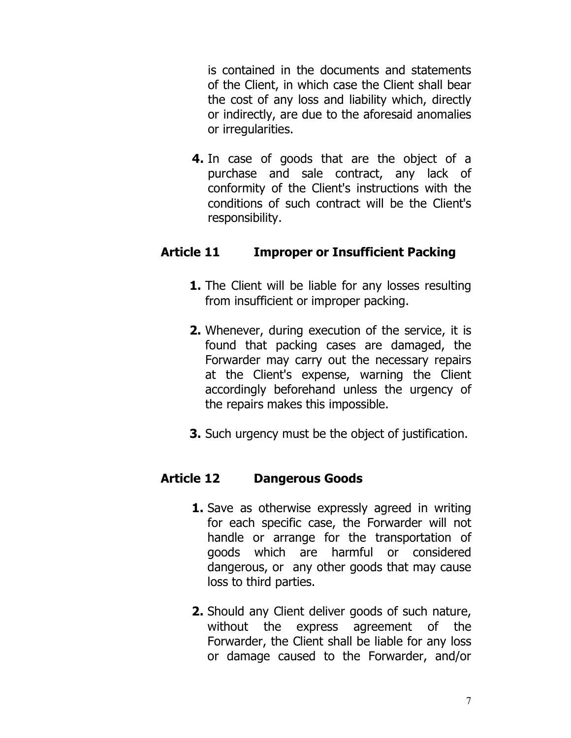is contained in the documents and statements of the Client, in which case the Client shall bear the cost of any loss and liability which, directly or indirectly, are due to the aforesaid anomalies or irregularities.

4. In case of goods that are the object of a purchase and sale contract, any lack of conformity of the Client's instructions with the conditions of such contract will be the Client's responsibility.

#### Article 11 Improper or Insufficient Packing

- **1.** The Client will be liable for any losses resulting from insufficient or improper packing.
- 2. Whenever, during execution of the service, it is found that packing cases are damaged, the Forwarder may carry out the necessary repairs at the Client's expense, warning the Client accordingly beforehand unless the urgency of the repairs makes this impossible.
- 3. Such urgency must be the object of justification.

## Article 12 Dangerous Goods

- **1.** Save as otherwise expressly agreed in writing for each specific case, the Forwarder will not handle or arrange for the transportation of goods which are harmful or considered dangerous, or any other goods that may cause loss to third parties.
- 2. Should any Client deliver goods of such nature, without the express agreement of the Forwarder, the Client shall be liable for any loss or damage caused to the Forwarder, and/or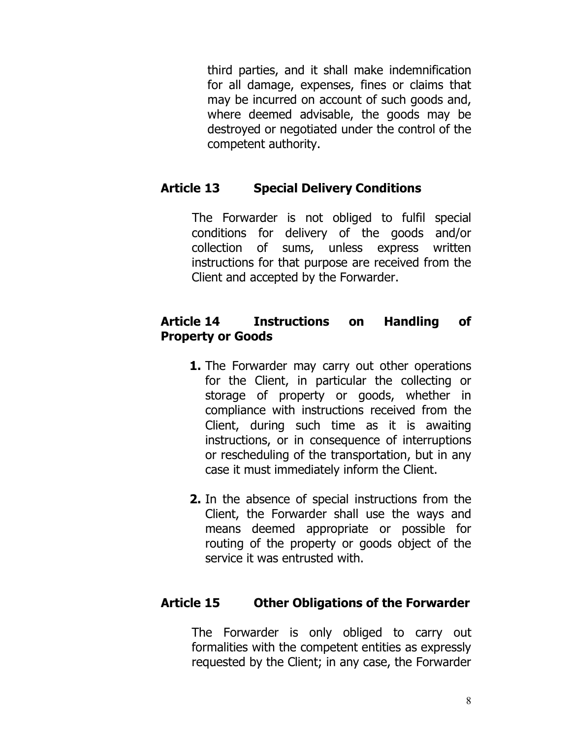third parties, and it shall make indemnification for all damage, expenses, fines or claims that may be incurred on account of such goods and, where deemed advisable, the goods may be destroyed or negotiated under the control of the competent authority.

# Article 13 Special Delivery Conditions

The Forwarder is not obliged to fulfil special conditions for delivery of the goods and/or collection of sums, unless express written instructions for that purpose are received from the Client and accepted by the Forwarder.

#### Article 14 Instructions on Handling of Property or Goods

- **1.** The Forwarder may carry out other operations for the Client, in particular the collecting or storage of property or goods, whether in compliance with instructions received from the Client, during such time as it is awaiting instructions, or in consequence of interruptions or rescheduling of the transportation, but in any case it must immediately inform the Client.
- 2. In the absence of special instructions from the Client, the Forwarder shall use the ways and means deemed appropriate or possible for routing of the property or goods object of the service it was entrusted with.

## Article 15 Other Obligations of the Forwarder

The Forwarder is only obliged to carry out formalities with the competent entities as expressly requested by the Client; in any case, the Forwarder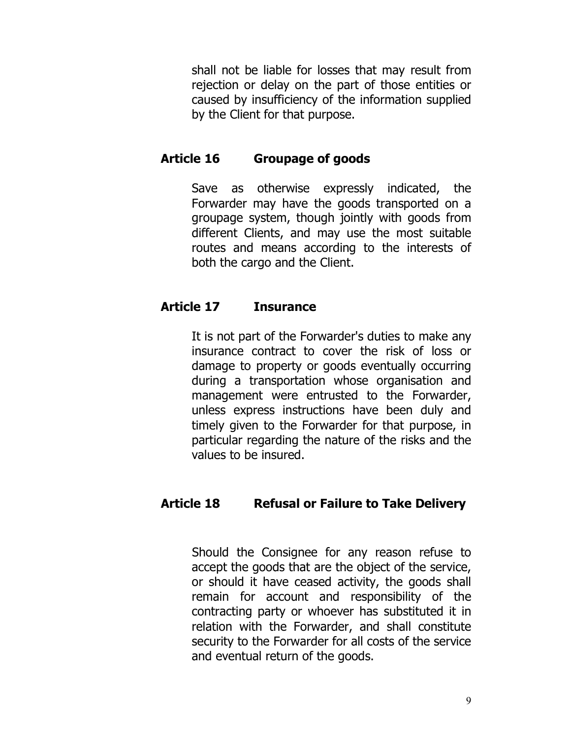shall not be liable for losses that may result from rejection or delay on the part of those entities or caused by insufficiency of the information supplied by the Client for that purpose.

# Article 16 Groupage of goods

Save as otherwise expressly indicated, the Forwarder may have the goods transported on a groupage system, though jointly with goods from different Clients, and may use the most suitable routes and means according to the interests of both the cargo and the Client.

## Article 17 Insurance

It is not part of the Forwarder's duties to make any insurance contract to cover the risk of loss or damage to property or goods eventually occurring during a transportation whose organisation and management were entrusted to the Forwarder, unless express instructions have been duly and timely given to the Forwarder for that purpose, in particular regarding the nature of the risks and the values to be insured.

## Article 18 Refusal or Failure to Take Delivery

Should the Consignee for any reason refuse to accept the goods that are the object of the service, or should it have ceased activity, the goods shall remain for account and responsibility of the contracting party or whoever has substituted it in relation with the Forwarder, and shall constitute security to the Forwarder for all costs of the service and eventual return of the goods.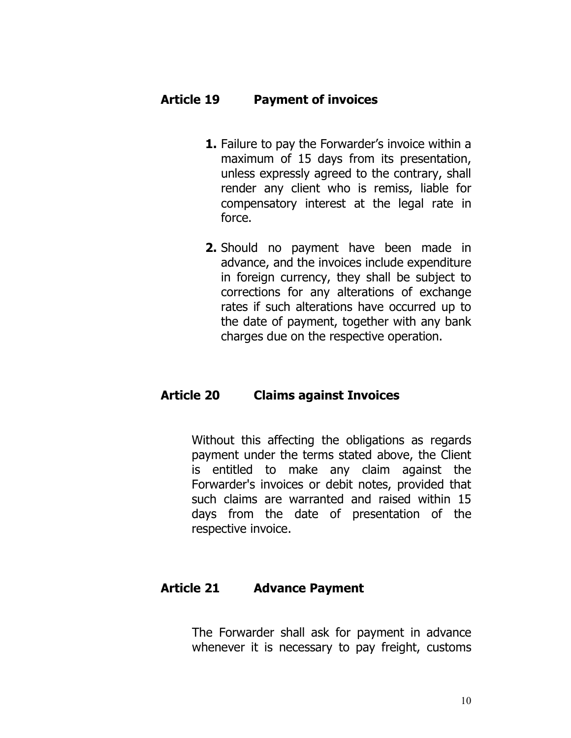#### Article 19 Payment of invoices

- 1. Failure to pay the Forwarder's invoice within a maximum of 15 days from its presentation, unless expressly agreed to the contrary, shall render any client who is remiss, liable for compensatory interest at the legal rate in force.
- 2. Should no payment have been made in advance, and the invoices include expenditure in foreign currency, they shall be subject to corrections for any alterations of exchange rates if such alterations have occurred up to the date of payment, together with any bank charges due on the respective operation.

#### Article 20 Claims against Invoices

Without this affecting the obligations as regards payment under the terms stated above, the Client is entitled to make any claim against the Forwarder's invoices or debit notes, provided that such claims are warranted and raised within 15 days from the date of presentation of the respective invoice.

#### Article 21 Advance Payment

The Forwarder shall ask for payment in advance whenever it is necessary to pay freight, customs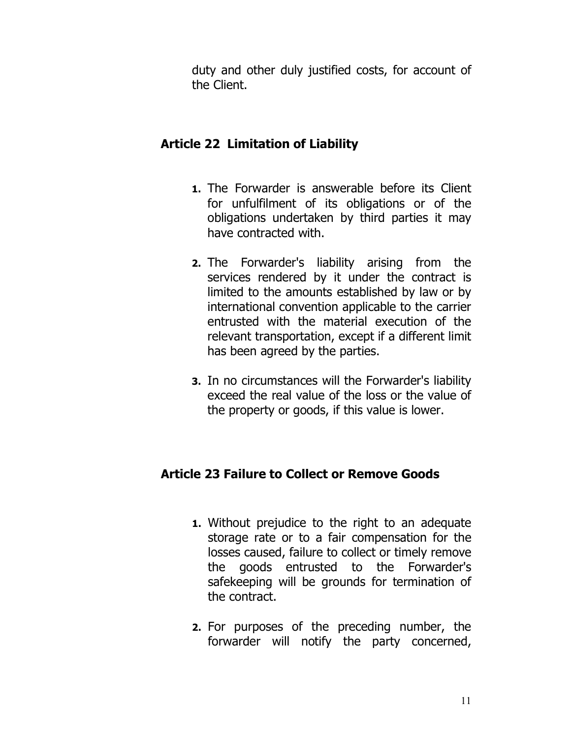duty and other duly justified costs, for account of the Client.

# Article 22 Limitation of Liability

- 1. The Forwarder is answerable before its Client for unfulfilment of its obligations or of the obligations undertaken by third parties it may have contracted with.
- 2. The Forwarder's liability arising from the services rendered by it under the contract is limited to the amounts established by law or by international convention applicable to the carrier entrusted with the material execution of the relevant transportation, except if a different limit has been agreed by the parties.
- 3. In no circumstances will the Forwarder's liability exceed the real value of the loss or the value of the property or goods, if this value is lower.

## Article 23 Failure to Collect or Remove Goods

- 1. Without prejudice to the right to an adequate storage rate or to a fair compensation for the losses caused, failure to collect or timely remove the goods entrusted to the Forwarder's safekeeping will be grounds for termination of the contract.
- 2. For purposes of the preceding number, the forwarder will notify the party concerned,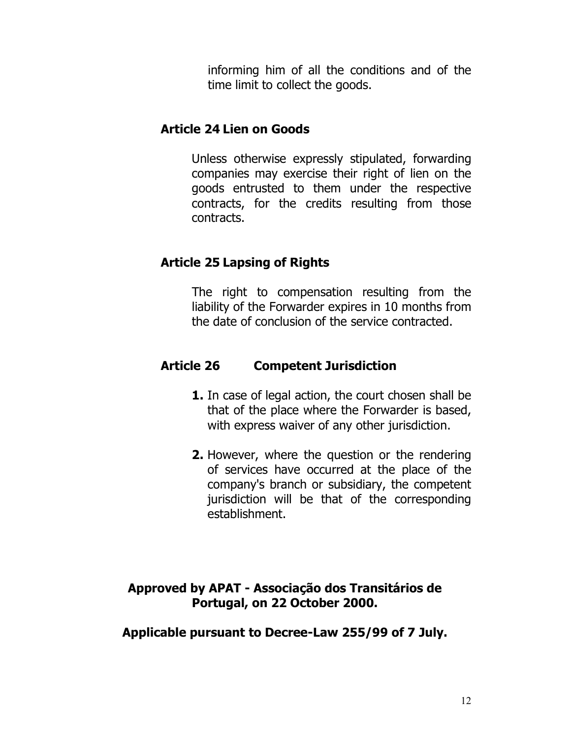informing him of all the conditions and of the time limit to collect the goods.

#### Article 24 Lien on Goods

Unless otherwise expressly stipulated, forwarding companies may exercise their right of lien on the goods entrusted to them under the respective contracts, for the credits resulting from those contracts.

# Article 25 Lapsing of Rights

The right to compensation resulting from the liability of the Forwarder expires in 10 months from the date of conclusion of the service contracted.

# Article 26 Competent Jurisdiction

- **1.** In case of legal action, the court chosen shall be that of the place where the Forwarder is based, with express waiver of any other jurisdiction.
- 2. However, where the question or the rendering of services have occurred at the place of the company's branch or subsidiary, the competent jurisdiction will be that of the corresponding establishment.

## Approved by APAT - Associação dos Transitários de Portugal, on 22 October 2000.

Applicable pursuant to Decree-Law 255/99 of 7 July.